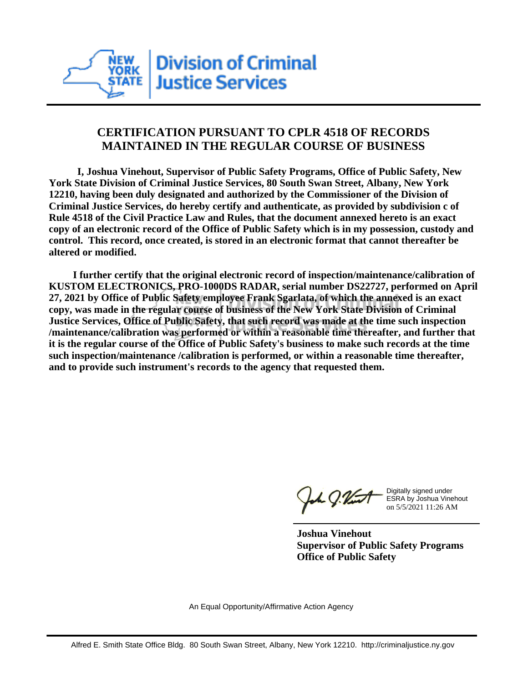

## **CERTIFICATION PURSUANT TO CPLR 4518 OF RECORDS MAINTAINED IN THE REGULAR COURSE OF BUSINESS**

 **I, Joshua Vinehout, Supervisor of Public Safety Programs, Office of Public Safety, New York State Division of Criminal Justice Services, 80 South Swan Street, Albany, New York 12210, having been duly designated and authorized by the Commissioner of the Division of Criminal Justice Services, do hereby certify and authenticate, as provided by subdivision c of Rule 4518 of the Civil Practice Law and Rules, that the document annexed hereto is an exact copy of an electronic record of the Office of Public Safety which is in my possession, custody and control. This record, once created, is stored in an electronic format that cannot thereafter be altered or modified.**

 **I further certify that the original electronic record of inspection/maintenance/calibration of KUSTOM ELECTRONICS, PRO-1000DS RADAR, serial number DS22727, performed on April 27, 2021 by Office of Public Safety employee Frank Sgarlata, of which the annexed is an exact copy, was made in the regular course of business of the New York State Division of Criminal Justice Services, Office of Public Safety, that such record was made at the time such inspection /maintenance/calibration was performed or within a reasonable time thereafter, and further that it is the regular course of the Office of Public Safety's business to make such records at the time such inspection/maintenance /calibration is performed, or within a reasonable time thereafter, and to provide such instrument's records to the agency that requested them.**

the J. Vint

Digitally signed under ESRA by Joshua Vinehout on 5/5/2021 11:26 AM

**Joshua Vinehout Supervisor of Public Safety Programs Office of Public Safety**

An Equal Opportunity/Affirmative Action Agency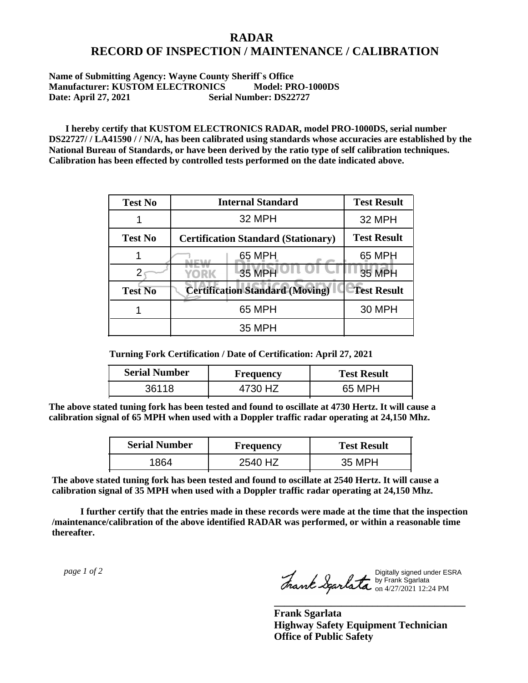## **RADAR RECORD OF INSPECTION / MAINTENANCE / CALIBRATION**

## **Name of Submitting Agency: Wayne County Sheriff`s Office Manufacturer: KUSTOM ELECTRONICS Model: PRO-1000DS Date: April 27, 2021 Serial Number: DS22727**

 **I hereby certify that KUSTOM ELECTRONICS RADAR, model PRO-1000DS, serial number DS22727/ / LA41590 / / N/A, has been calibrated using standards whose accuracies are established by the National Bureau of Standards, or have been derived by the ratio type of self calibration techniques. Calibration has been effected by controlled tests performed on the date indicated above.**

| <b>Test No</b> | <b>Internal Standard</b>                   | <b>Test Result</b> |
|----------------|--------------------------------------------|--------------------|
|                | 32 MPH                                     | 32 MPH             |
| <b>Test No</b> | <b>Certification Standard (Stationary)</b> | <b>Test Result</b> |
|                | 65 MPH                                     | 65 MPH             |
|                | 35 MPH<br>YORK                             | 35 MPH             |
| <b>Test No</b> | <b>Certification Standard (Moving)</b>     | <b>Test Result</b> |
|                | 65 MPH                                     | <b>30 MPH</b>      |
|                | <b>35 MPH</b>                              |                    |

**Turning Fork Certification / Date of Certification: April 27, 2021**

| <b>Serial Number</b> | <b>Frequency</b> | <b>Test Result</b> |
|----------------------|------------------|--------------------|
| 36118                | 4730 HZ          | 65 MPH             |

**The above stated tuning fork has been tested and found to oscillate at 4730 Hertz. It will cause a calibration signal of 65 MPH when used with a Doppler traffic radar operating at 24,150 Mhz.**

| <b>Serial Number</b> | <b>Frequency</b> | <b>Test Result</b> |
|----------------------|------------------|--------------------|
| 864                  | 2540 HZ          | 35 MPH             |

**The above stated tuning fork has been tested and found to oscillate at 2540 Hertz. It will cause a calibration signal of 35 MPH when used with a Doppler traffic radar operating at 24,150 Mhz.**

 **I further certify that the entries made in these records were made at the time that the inspection /maintenance/calibration of the above identified RADAR was performed, or within a reasonable time thereafter.**

 *page 1 of 2* 

Digitally signed under ESRA by Frank Sgarlata on 4/27/2021 12:24 PM

**\_\_\_\_\_\_\_\_\_\_\_\_\_\_\_\_\_\_\_\_\_\_\_\_\_\_\_\_\_\_\_\_\_\_\_\_\_**

**Frank Sgarlata Highway Safety Equipment Technician Office of Public Safety**